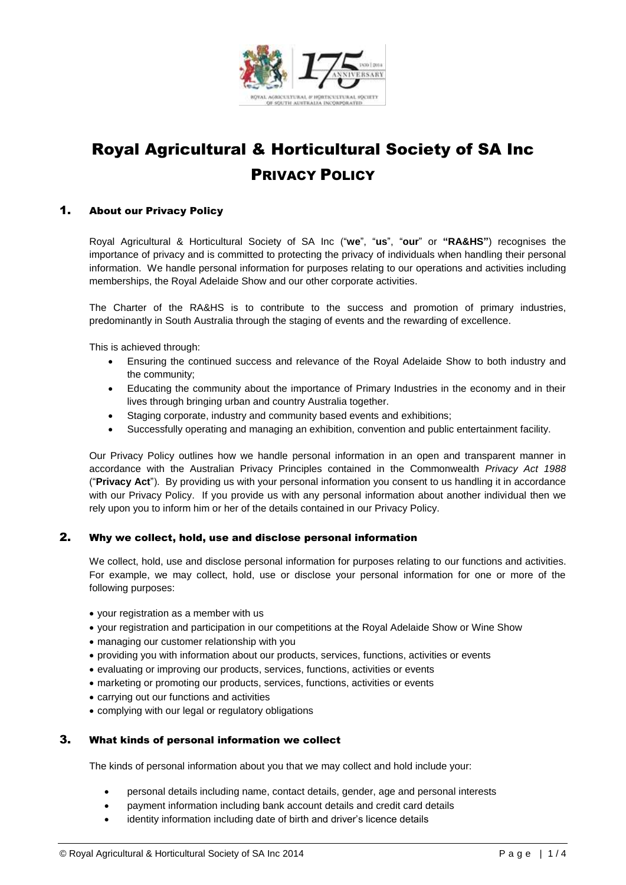

# Royal Agricultural & Horticultural Society of SA Inc PRIVACY POLICY

## 1. About our Privacy Policy

Royal Agricultural & Horticultural Society of SA Inc ("**we**", "**us**", "**our**" or **"RA&HS"**) recognises the importance of privacy and is committed to protecting the privacy of individuals when handling their personal information. We handle personal information for purposes relating to our operations and activities including memberships, the Royal Adelaide Show and our other corporate activities.

The Charter of the RA&HS is to contribute to the success and promotion of primary industries, predominantly in South Australia through the staging of events and the rewarding of excellence.

This is achieved through:

- Ensuring the continued success and relevance of the Royal Adelaide Show to both industry and the community;
- Educating the community about the importance of Primary Industries in the economy and in their lives through bringing urban and country Australia together.
- Staging corporate, industry and community based events and exhibitions;
- Successfully operating and managing an exhibition, convention and public entertainment facility.

Our Privacy Policy outlines how we handle personal information in an open and transparent manner in accordance with the Australian Privacy Principles contained in the Commonwealth *Privacy Act 1988* ("**Privacy Act**"). By providing us with your personal information you consent to us handling it in accordance with our Privacy Policy. If you provide us with any personal information about another individual then we rely upon you to inform him or her of the details contained in our Privacy Policy.

# 2. Why we collect, hold, use and disclose personal information

We collect, hold, use and disclose personal information for purposes relating to our functions and activities. For example, we may collect, hold, use or disclose your personal information for one or more of the following purposes:

- your registration as a member with us
- your registration and participation in our competitions at the Royal Adelaide Show or Wine Show
- managing our customer relationship with you
- providing you with information about our products, services, functions, activities or events
- evaluating or improving our products, services, functions, activities or events
- marketing or promoting our products, services, functions, activities or events
- carrying out our functions and activities
- complying with our legal or regulatory obligations

#### 3. What kinds of personal information we collect

The kinds of personal information about you that we may collect and hold include your:

- personal details including name, contact details, gender, age and personal interests
- payment information including bank account details and credit card details
- identity information including date of birth and driver's licence details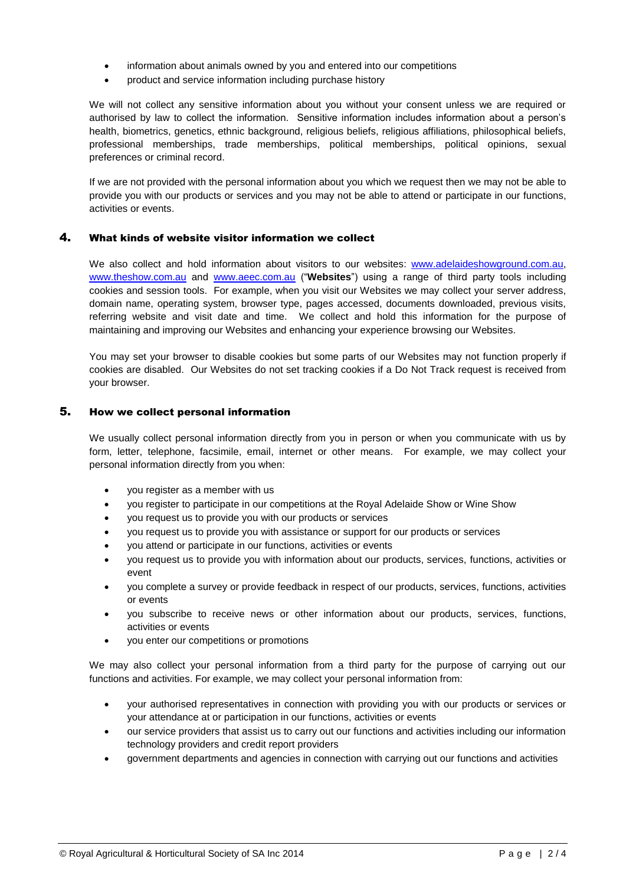- information about animals owned by you and entered into our competitions
- product and service information including purchase history

We will not collect any sensitive information about you without your consent unless we are required or authorised by law to collect the information. Sensitive information includes information about a person's health, biometrics, genetics, ethnic background, religious beliefs, religious affiliations, philosophical beliefs, professional memberships, trade memberships, political memberships, political opinions, sexual preferences or criminal record.

If we are not provided with the personal information about you which we request then we may not be able to provide you with our products or services and you may not be able to attend or participate in our functions, activities or events.

#### 4. What kinds of website visitor information we collect

We also collect and hold information about visitors to our websites: [www.adelaideshowground.com.au,](http://www.adelaideshowground.com.au/) [www.theshow.com.au](http://www.theshow.com.au/) and [www.aeec.com.au](http://www.aeec.com.au/) ("**Websites**") using a range of third party tools including cookies and session tools. For example, when you visit our Websites we may collect your server address, domain name, operating system, browser type, pages accessed, documents downloaded, previous visits, referring website and visit date and time. We collect and hold this information for the purpose of maintaining and improving our Websites and enhancing your experience browsing our Websites.

You may set your browser to disable cookies but some parts of our Websites may not function properly if cookies are disabled. Our Websites do not set tracking cookies if a Do Not Track request is received from your browser.

## 5. How we collect personal information

We usually collect personal information directly from you in person or when you communicate with us by form, letter, telephone, facsimile, email, internet or other means. For example, we may collect your personal information directly from you when:

- you register as a member with us
- you register to participate in our competitions at the Royal Adelaide Show or Wine Show
- you request us to provide you with our products or services
- you request us to provide you with assistance or support for our products or services
- you attend or participate in our functions, activities or events
- you request us to provide you with information about our products, services, functions, activities or event
- you complete a survey or provide feedback in respect of our products, services, functions, activities or events
- you subscribe to receive news or other information about our products, services, functions, activities or events
- you enter our competitions or promotions

We may also collect your personal information from a third party for the purpose of carrying out our functions and activities. For example, we may collect your personal information from:

- your authorised representatives in connection with providing you with our products or services or your attendance at or participation in our functions, activities or events
- our service providers that assist us to carry out our functions and activities including our information technology providers and credit report providers
- government departments and agencies in connection with carrying out our functions and activities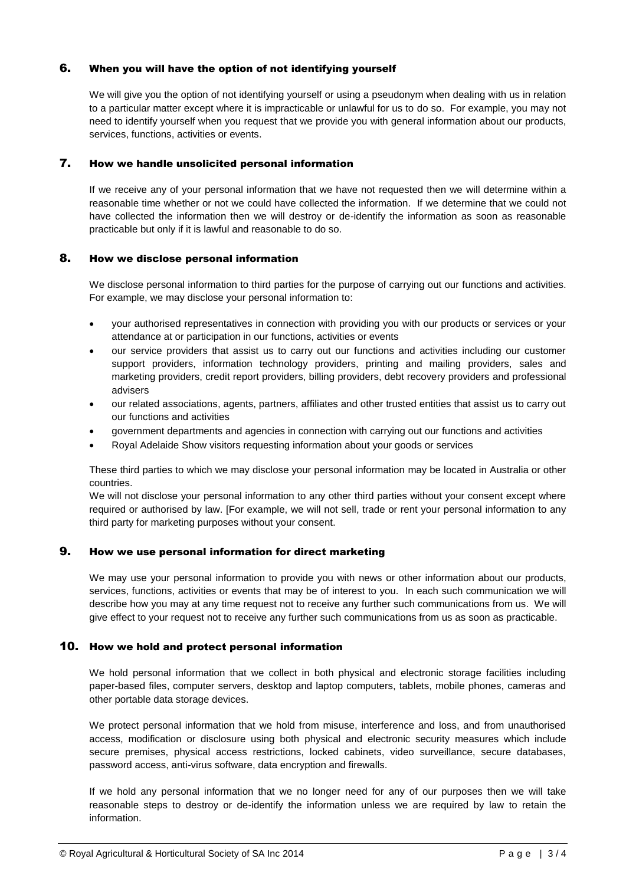## 6. When you will have the option of not identifying yourself

We will give you the option of not identifying yourself or using a pseudonym when dealing with us in relation to a particular matter except where it is impracticable or unlawful for us to do so. For example, you may not need to identify yourself when you request that we provide you with general information about our products, services, functions, activities or events.

#### 7. How we handle unsolicited personal information

If we receive any of your personal information that we have not requested then we will determine within a reasonable time whether or not we could have collected the information. If we determine that we could not have collected the information then we will destroy or de-identify the information as soon as reasonable practicable but only if it is lawful and reasonable to do so.

## 8. How we disclose personal information

We disclose personal information to third parties for the purpose of carrying out our functions and activities. For example, we may disclose your personal information to:

- your authorised representatives in connection with providing you with our products or services or your attendance at or participation in our functions, activities or events
- our service providers that assist us to carry out our functions and activities including our customer support providers, information technology providers, printing and mailing providers, sales and marketing providers, credit report providers, billing providers, debt recovery providers and professional advisers
- our related associations, agents, partners, affiliates and other trusted entities that assist us to carry out our functions and activities
- government departments and agencies in connection with carrying out our functions and activities
- Royal Adelaide Show visitors requesting information about your goods or services

These third parties to which we may disclose your personal information may be located in Australia or other countries.

We will not disclose your personal information to any other third parties without your consent except where required or authorised by law. [For example, we will not sell, trade or rent your personal information to any third party for marketing purposes without your consent.

#### 9. How we use personal information for direct marketing

We may use your personal information to provide you with news or other information about our products, services, functions, activities or events that may be of interest to you. In each such communication we will describe how you may at any time request not to receive any further such communications from us. We will give effect to your request not to receive any further such communications from us as soon as practicable.

#### 10. How we hold and protect personal information

We hold personal information that we collect in both physical and electronic storage facilities including paper-based files, computer servers, desktop and laptop computers, tablets, mobile phones, cameras and other portable data storage devices.

We protect personal information that we hold from misuse, interference and loss, and from unauthorised access, modification or disclosure using both physical and electronic security measures which include secure premises, physical access restrictions, locked cabinets, video surveillance, secure databases, password access, anti-virus software, data encryption and firewalls.

If we hold any personal information that we no longer need for any of our purposes then we will take reasonable steps to destroy or de-identify the information unless we are required by law to retain the information.